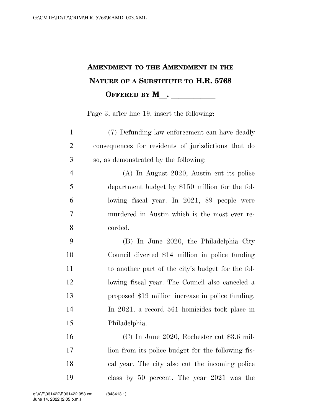## **AMENDMENT TO THE AMENDMENT IN THE NATURE OF A SUBSTITUTE TO H.R. 5768 OFFERED BY M\_\_.** \_\_\_\_\_\_\_\_\_\_\_

Page 3, after line 19, insert the following:

| $\mathbf{1}$   | (7) Defunding law enforcement can have deadly       |
|----------------|-----------------------------------------------------|
| $\overline{2}$ | consequences for residents of jurisdictions that do |
| 3              | so, as demonstrated by the following:               |
| $\overline{4}$ | (A) In August 2020, Austin cut its police           |
| 5              | department budget by \$150 million for the fol-     |
| 6              | lowing fiscal year. In 2021, 89 people were         |
| $\tau$         | murdered in Austin which is the most ever re-       |
| 8              | corded.                                             |
| 9              | (B) In June 2020, the Philadelphia City             |
| 10             | Council diverted \$14 million in police funding     |
| 11             | to another part of the city's budget for the fol-   |
| 12             | lowing fiscal year. The Council also canceled a     |
| 13             | proposed \$19 million increase in police funding.   |
| 14             | In 2021, a record 561 homicides took place in       |
| 15             | Philadelphia.                                       |
| 16             | (C) In June 2020, Rochester cut \$3.6 mil-          |
| 17             | lion from its police budget for the following fis-  |
| 18             | cal year. The city also cut the incoming police     |

class by 50 percent. The year 2021 was the